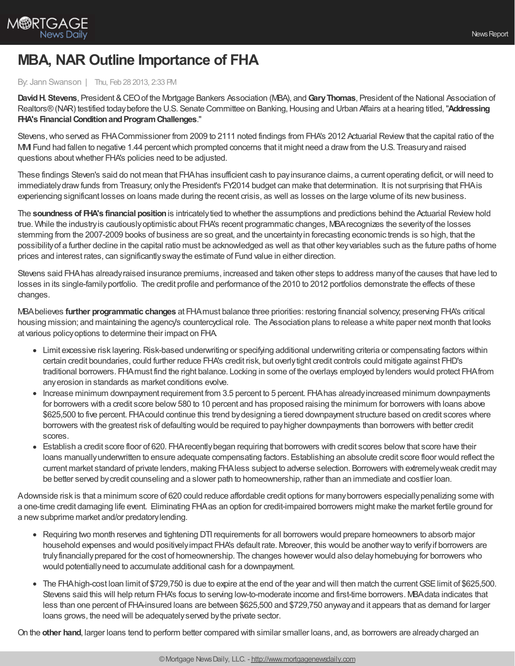

## **MBA, NAR Outline Importance of FHA**

## By: Jann Swanson | Thu, Feb 28 2013, 2:33 PM

**DavidH. Stevens**, President &CEOof the Mortgage Bankers Association (MBA), and**GaryThomas**, President of the National Association of Realtors® (NAR) testified today before the U.S. Senate Committee on Banking, Housing and Urban Affairs at a hearing titled, "Addressing **FHA's Financial Condition and Program Challenges."** 

Stevens,who served as FHACommissioner from 2009 to 2111 noted findings from FHA's 2012 Actuarial Reviewthat the capital ratio of the MMI Fund had fallen to negative 1.44 percent which prompted concerns that it might need a draw from the U.S. Treasury and raised questions aboutwhether FHA's policies need to be adjusted.

These findings Steven's said do not mean that FHAhas insufficient cash to payinsurance claims, a current operating deficit, or will need to immediately draw funds from Treasury; only the President's FY2014 budget can make that determination. It is not surprising that FHA is experiencing significant losses on loans made during the recent crisis, as well as losses on the large volume of its new business.

The **soundness of FHA's financial position**is intricatelytied to whether the assumptions and predictions behind the Actuarial Reviewhold true. While the industryis cautiouslyoptimistic about FHA's recent programmatic changes, MBArecognizes the severityof the losses stemming from the 2007-2009 books of business are so great, and the uncertaintyin forecasting economic trends is so high, that the possibilityof a further decline in the capital ratio must be acknowledged as well as that other keyvariables such as the future paths of home prices and interest rates, can significantlyswaythe estimate of Fund value in either direction.

Stevens said FHAhas alreadyraised insurance premiums, increased and taken other steps to address manyof the causes that have led to losses in its single-familyportfolio. The credit profile and performance of the 2010 to 2012 portfolios demonstrate the effects of these changes.

MBAbelieves **further programmatic changes** at FHAmust balance three priorities: restoring financial solvency; preserving FHA's critical housing mission; and maintaining the agency's countercyclical role. The Association plans to release a white paper next month that looks at various policyoptions to determine their impact on FHA.

- Limit excessive risk layering. Risk-based underwriting or specifying additional underwriting criteria or compensating factors within certain credit boundaries, could further reduce FHA's credit risk, but overlytight credit controls could mitigate against FHD's traditional borrowers. FHAmust find the right balance. Locking in some of the overlays employed bylenders would protect FHAfrom anyerosion in standards as market conditions evolve.
- Increase minimum downpayment requirement from 3.5 percent to 5 percent. FHA has already increased minimum downpayments for borrowers with a credit score below 580 to 10 percent and has proposed raising the minimum for borrowers with loans above \$625,500 to five percent. FHAcould continue this trend bydesigning a tiered downpayment structure based on credit scores where borrowers with the greatest risk of defaulting would be required to payhigher downpayments than borrowers with better credit scores.
- Establish a credit score floor of 620. FHArecentlybegan requiring that borrowers with credit scores belowthat score have their loans manuallyunderwritten to ensure adequate compensating factors. Establishing an absolute credit score floor would reflect the current market standard of private lenders, making FHAless subject to adverse selection. Borrowers with extremelyweak credit may be better served bycredit counseling and a slower path to homeownership, rather than an immediate and costlier loan.

Adownside risk is that a minimum score of 620 could reduce affordable credit options for manyborrowers especiallypenalizing some with a one-time credit damaging life event. Eliminating FHAas an option for credit-impaired borrowers might make the market fertile ground for a newsubprime market and/or predatorylending.

- Requiring two month reserves and tightening DTI requirements for all borrowers would prepare homeowners to absorb major household expenses and would positivelyimpact FHA's default rate. Moreover, this would be another wayto verifyif borrowers are trulyfinanciallyprepared for the cost of homeownership. The changes however would also delayhomebuying for borrowers who would potentiallyneed to accumulate additional cash for a downpayment.
- The FHA high-cost loan limit of \$729,750 is due to expire at the end of the year and will then match the current GSE limit of \$625,500. Stevens said this will help return FHA's focus to serving low-to-moderate income and first-time borrowers. MBAdata indicates that less than one percent of FHA-insured loans are between \$625,500 and \$729,750 anywayand it appears that as demand for larger loans grows, the need will be adequately served by the private sector.

On the **other hand**, larger loans tend to perform better compared with similar smaller loans, and, as borrowers are alreadycharged an